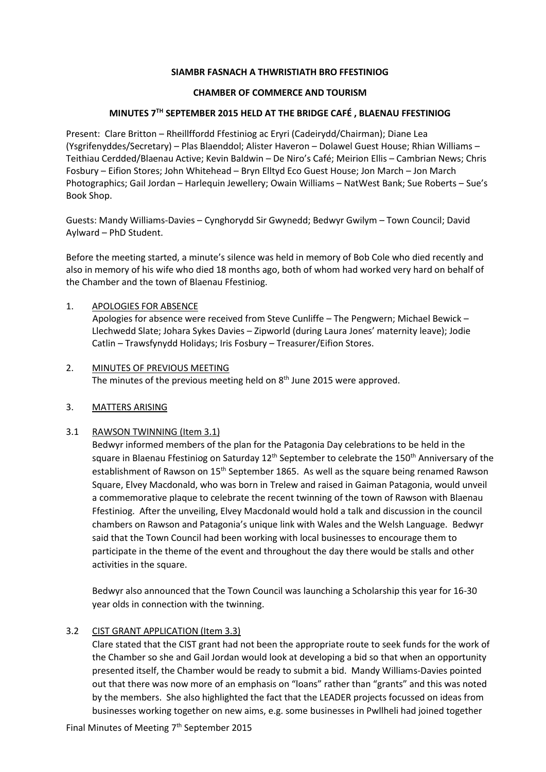### **SIAMBR FASNACH A THWRISTIATH BRO FFESTINIOG**

### **CHAMBER OF COMMERCE AND TOURISM**

## **MINUTES 7TH SEPTEMBER 2015 HELD AT THE BRIDGE CAFÉ , BLAENAU FFESTINIOG**

Present: Clare Britton – Rheillffordd Ffestiniog ac Eryri (Cadeirydd/Chairman); Diane Lea (Ysgrifenyddes/Secretary) – Plas Blaenddol; Alister Haveron – Dolawel Guest House; Rhian Williams – Teithiau Cerdded/Blaenau Active; Kevin Baldwin – De Niro's Café; Meirion Ellis – Cambrian News; Chris Fosbury – Eifion Stores; John Whitehead – Bryn Elltyd Eco Guest House; Jon March – Jon March Photographics; Gail Jordan – Harlequin Jewellery; Owain Williams – NatWest Bank; Sue Roberts – Sue's Book Shop.

Guests: Mandy Williams-Davies – Cynghorydd Sir Gwynedd; Bedwyr Gwilym – Town Council; David Aylward – PhD Student.

Before the meeting started, a minute's silence was held in memory of Bob Cole who died recently and also in memory of his wife who died 18 months ago, both of whom had worked very hard on behalf of the Chamber and the town of Blaenau Ffestiniog.

## 1. APOLOGIES FOR ABSENCE

 Apologies for absence were received from Steve Cunliffe – The Pengwern; Michael Bewick – Llechwedd Slate; Johara Sykes Davies – Zipworld (during Laura Jones' maternity leave); Jodie Catlin – Trawsfynydd Holidays; Iris Fosbury – Treasurer/Eifion Stores.

2. MINUTES OF PREVIOUS MEETING The minutes of the previous meeting held on 8<sup>th</sup> June 2015 were approved.

### 3. MATTERS ARISING

### 3.1 RAWSON TWINNING (Item 3.1)

Bedwyr informed members of the plan for the Patagonia Day celebrations to be held in the square in Blaenau Ffestiniog on Saturday 12<sup>th</sup> September to celebrate the 150<sup>th</sup> Anniversary of the establishment of Rawson on 15<sup>th</sup> September 1865. As well as the square being renamed Rawson Square, Elvey Macdonald, who was born in Trelew and raised in Gaiman Patagonia, would unveil a commemorative plaque to celebrate the recent twinning of the town of Rawson with Blaenau Ffestiniog. After the unveiling, Elvey Macdonald would hold a talk and discussion in the council chambers on Rawson and Patagonia's unique link with Wales and the Welsh Language. Bedwyr said that the Town Council had been working with local businesses to encourage them to participate in the theme of the event and throughout the day there would be stalls and other activities in the square.

Bedwyr also announced that the Town Council was launching a Scholarship this year for 16-30 year olds in connection with the twinning.

# 3.2 CIST GRANT APPLICATION (Item 3.3)

Clare stated that the CIST grant had not been the appropriate route to seek funds for the work of the Chamber so she and Gail Jordan would look at developing a bid so that when an opportunity presented itself, the Chamber would be ready to submit a bid. Mandy Williams-Davies pointed out that there was now more of an emphasis on "loans" rather than "grants" and this was noted by the members. She also highlighted the fact that the LEADER projects focussed on ideas from businesses working together on new aims, e.g. some businesses in Pwllheli had joined together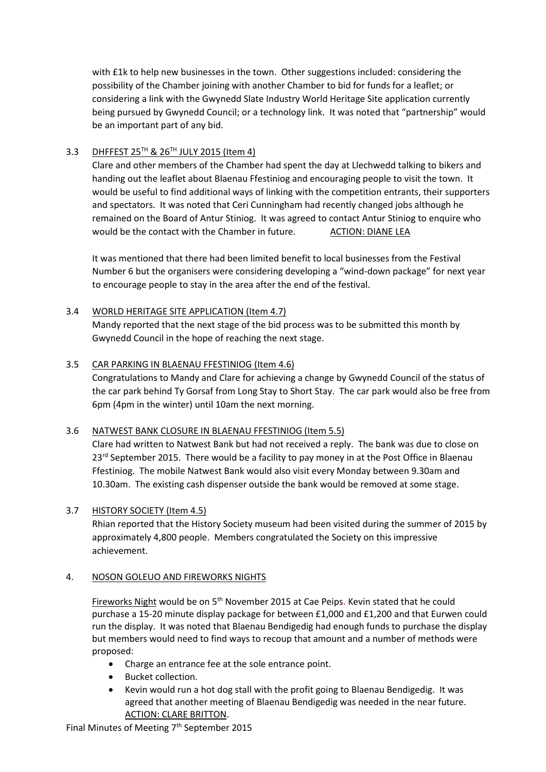with £1k to help new businesses in the town. Other suggestions included: considering the possibility of the Chamber joining with another Chamber to bid for funds for a leaflet; or considering a link with the Gwynedd Slate Industry World Heritage Site application currently being pursued by Gwynedd Council; or a technology link. It was noted that "partnership" would be an important part of any bid.

# 3.3 DHFFEST 25<sup>TH</sup> & 26<sup>TH</sup> JULY 2015 (Item 4)

Clare and other members of the Chamber had spent the day at Llechwedd talking to bikers and handing out the leaflet about Blaenau Ffestiniog and encouraging people to visit the town. It would be useful to find additional ways of linking with the competition entrants, their supporters and spectators. It was noted that Ceri Cunningham had recently changed jobs although he remained on the Board of Antur Stiniog. It was agreed to contact Antur Stiniog to enquire who would be the contact with the Chamber in future. ACTION: DIANE LEA

It was mentioned that there had been limited benefit to local businesses from the Festival Number 6 but the organisers were considering developing a "wind-down package" for next year to encourage people to stay in the area after the end of the festival.

# 3.4 WORLD HERITAGE SITE APPLICATION (Item 4.7)

Mandy reported that the next stage of the bid process was to be submitted this month by Gwynedd Council in the hope of reaching the next stage.

# 3.5 CAR PARKING IN BLAENAU FFESTINIOG (Item 4.6)

Congratulations to Mandy and Clare for achieving a change by Gwynedd Council of the status of the car park behind Ty Gorsaf from Long Stay to Short Stay. The car park would also be free from 6pm (4pm in the winter) until 10am the next morning.

# 3.6 NATWEST BANK CLOSURE IN BLAENAU FFESTINIOG (Item 5.5)

Clare had written to Natwest Bank but had not received a reply. The bank was due to close on  $23<sup>rd</sup>$  September 2015. There would be a facility to pay money in at the Post Office in Blaenau Ffestiniog. The mobile Natwest Bank would also visit every Monday between 9.30am and 10.30am. The existing cash dispenser outside the bank would be removed at some stage.

# 3.7 HISTORY SOCIETY (Item 4.5)

Rhian reported that the History Society museum had been visited during the summer of 2015 by approximately 4,800 people. Members congratulated the Society on this impressive achievement.

# 4. NOSON GOLEUO AND FIREWORKS NIGHTS

Fireworks Night would be on 5th November 2015 at Cae Peips. Kevin stated that he could purchase a 15-20 minute display package for between £1,000 and £1,200 and that Eurwen could run the display. It was noted that Blaenau Bendigedig had enough funds to purchase the display but members would need to find ways to recoup that amount and a number of methods were proposed:

- Charge an entrance fee at the sole entrance point.
- Bucket collection.
- Kevin would run a hot dog stall with the profit going to Blaenau Bendigedig. It was agreed that another meeting of Blaenau Bendigedig was needed in the near future. ACTION: CLARE BRITTON.

Final Minutes of Meeting 7<sup>th</sup> September 2015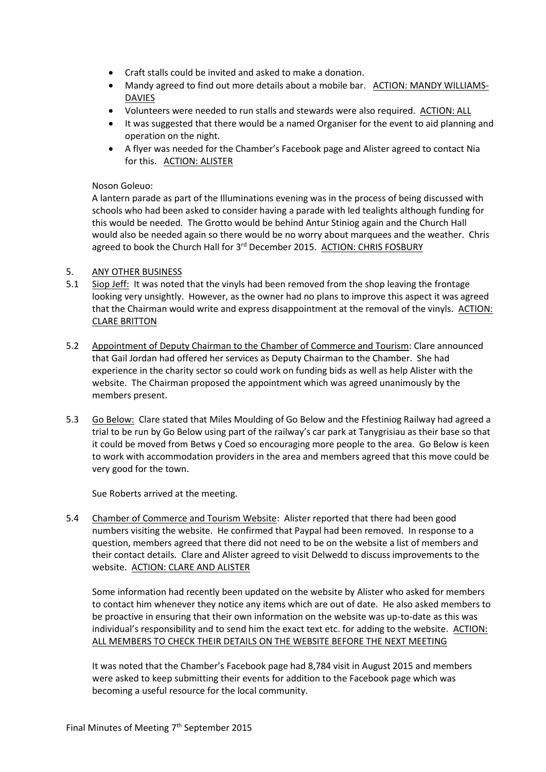- Craft stalls could be invited and asked to make a donation.
- Mandy agreed to find out more details about a mobile bar. ACTION: MANDY WILLIAMS-DAVIES
- Volunteers were needed to run stalls and stewards were also required. ACTION: ALL
- It was suggested that there would be a named Organiser for the event to aid planning and operation on the night.
- A flyer was needed for the Chamber's Facebook page and Alister agreed to contact Nia for this. ACTION: ALISTER

### Noson Goleuo:

A lantern parade as part of the Illuminations evening was in the process of being discussed with schools who had been asked to consider having a parade with led tealights although funding for this would be needed. The Grotto would be behind Antur Stiniog again and the Church Hall would also be needed again so there would be no worry about marquees and the weather. Chris agreed to book the Church Hall for 3rd December 2015. ACTION: CHRIS FOSBURY

#### 5. ANY OTHER BUSINESS

- 5.1 Siop Jeff: It was noted that the vinyls had been removed from the shop leaving the frontage looking very unsightly. However, as the owner had no plans to improve this aspect it was agreed that the Chairman would write and express disappointment at the removal of the vinyls. ACTION: CLARE BRITTON
- 5.2 Appointment of Deputy Chairman to the Chamber of Commerce and Tourism: Clare announced that Gail Jordan had offered her services as Deputy Chairman to the Chamber. She had experience in the charity sector so could work on funding bids as well as help Alister with the website. The Chairman proposed the appointment which was agreed unanimously by the members present.
- 5.3 Go Below: Clare stated that Miles Moulding of Go Below and the Ffestiniog Railway had agreed a trial to be run by Go Below using part of the railway's car park at Tanygrisiau as their base so that it could be moved from Betws y Coed so encouraging more people to the area. Go Below is keen to work with accommodation providers in the area and members agreed that this move could be very good for the town.

Sue Roberts arrived at the meeting.

5.4 Chamber of Commerce and Tourism Website: Alister reported that there had been good numbers visiting the website. He confirmed that Paypal had been removed. In response to a question, members agreed that there did not need to be on the website a list of members and their contact details. Clare and Alister agreed to visit Delwedd to discuss improvements to the website. ACTION: CLARE AND ALISTER

Some information had recently been updated on the website by Alister who asked for members to contact him whenever they notice any items which are out of date. He also asked members to be proactive in ensuring that their own information on the website was up-to-date as this was individual's responsibility and to send him the exact text etc. for adding to the website. ACTION: ALL MEMBERS TO CHECK THEIR DETAILS ON THE WEBSITE BEFORE THE NEXT MEETING

It was noted that the Chamber's Facebook page had 8,784 visit in August 2015 and members were asked to keep submitting their events for addition to the Facebook page which was becoming a useful resource for the local community.